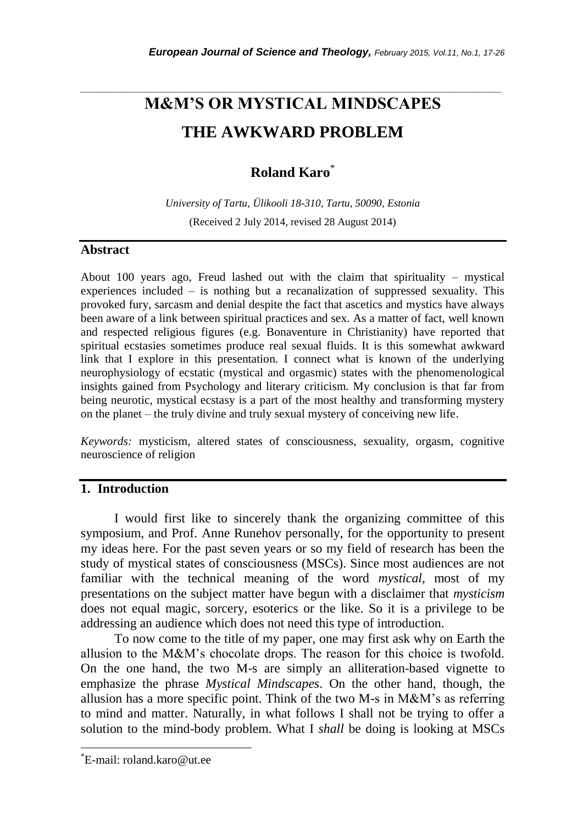# **M&M'S OR MYSTICAL MINDSCAPES THE AWKWARD PROBLEM**

*\_\_\_\_\_\_\_\_\_\_\_\_\_\_\_\_\_\_\_\_\_\_\_\_\_\_\_\_\_\_\_\_\_\_\_\_\_\_\_\_\_\_\_\_\_\_\_\_\_\_\_\_\_\_\_\_\_\_\_\_\_\_\_\_\_\_\_\_\_\_\_*

## **Roland Karo**\*

*University of Tartu, Ülikooli 18-310, Tartu, 50090, Estonia* (Received 2 July 2014, revised 28 August 2014)

## **Abstract**

About 100 years ago, Freud lashed out with the claim that spirituality – mystical experiences included – is nothing but a recanalization of suppressed sexuality. This provoked fury, sarcasm and denial despite the fact that ascetics and mystics have always been aware of a link between spiritual practices and sex. As a matter of fact, well known and respected religious figures (e.g. Bonaventure in Christianity) have reported that spiritual ecstasies sometimes produce real sexual fluids. It is this somewhat awkward link that I explore in this presentation. I connect what is known of the underlying neurophysiology of ecstatic (mystical and orgasmic) states with the phenomenological insights gained from Psychology and literary criticism. My conclusion is that far from being neurotic, mystical ecstasy is a part of the most healthy and transforming mystery on the planet – the truly divine and truly sexual mystery of conceiving new life.

*Keywords:* mysticism, altered states of consciousness, sexuality, orgasm, cognitive neuroscience of religion

## **1. Introduction**

I would first like to sincerely thank the organizing committee of this symposium, and Prof. Anne Runehov personally, for the opportunity to present my ideas here. For the past seven years or so my field of research has been the study of mystical states of consciousness (MSCs). Since most audiences are not familiar with the technical meaning of the word *mystical*, most of my presentations on the subject matter have begun with a disclaimer that *mysticism* does not equal magic, sorcery, esoterics or the like. So it is a privilege to be addressing an audience which does not need this type of introduction.

To now come to the title of my paper, one may first ask why on Earth the allusion to the M&M"s chocolate drops. The reason for this choice is twofold. On the one hand, the two M-s are simply an alliteration-based vignette to emphasize the phrase *Mystical Mindscapes*. On the other hand, though, the allusion has a more specific point. Think of the two  $M$ -s in  $M\&M$ 's as referring to mind and matter. Naturally, in what follows I shall not be trying to offer a solution to the mind-body problem. What I *shall* be doing is looking at MSCs

l

<sup>\*</sup>E-mail: roland.karo@ut.ee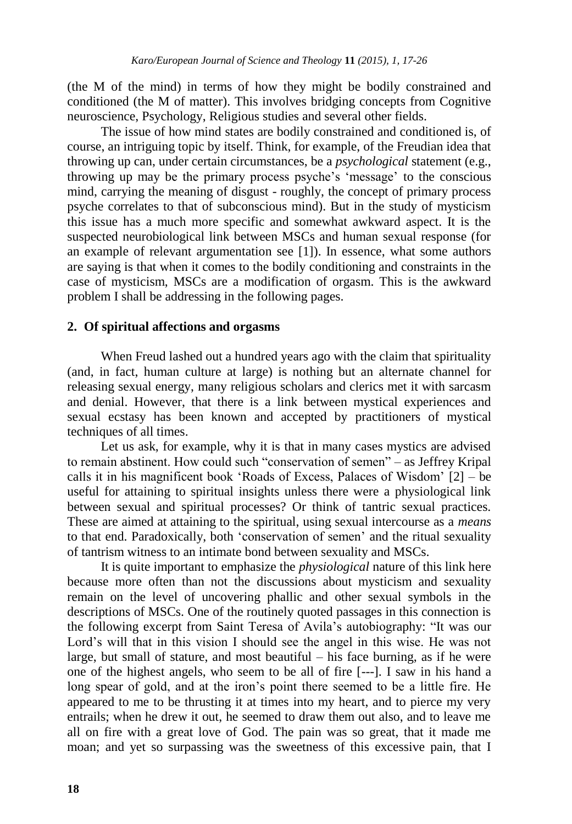(the M of the mind) in terms of how they might be bodily constrained and conditioned (the M of matter). This involves bridging concepts from Cognitive neuroscience, Psychology, Religious studies and several other fields.

The issue of how mind states are bodily constrained and conditioned is, of course, an intriguing topic by itself. Think, for example, of the Freudian idea that throwing up can, under certain circumstances, be a *psychological* statement (e.g., throwing up may be the primary process psyche"s "message" to the conscious mind, carrying the meaning of disgust - roughly, the concept of primary process psyche correlates to that of subconscious mind). But in the study of mysticism this issue has a much more specific and somewhat awkward aspect. It is the suspected neurobiological link between MSCs and human sexual response (for an example of relevant argumentation see [1]). In essence, what some authors are saying is that when it comes to the bodily conditioning and constraints in the case of mysticism, MSCs are a modification of orgasm. This is the awkward problem I shall be addressing in the following pages.

#### **2. Of spiritual affections and orgasms**

When Freud lashed out a hundred years ago with the claim that spirituality (and, in fact, human culture at large) is nothing but an alternate channel for releasing sexual energy, many religious scholars and clerics met it with sarcasm and denial. However, that there is a link between mystical experiences and sexual ecstasy has been known and accepted by practitioners of mystical techniques of all times.

Let us ask, for example, why it is that in many cases mystics are advised to remain abstinent. How could such "conservation of semen" – as Jeffrey Kripal calls it in his magnificent book "Roads of Excess, Palaces of Wisdom" [2] – be useful for attaining to spiritual insights unless there were a physiological link between sexual and spiritual processes? Or think of tantric sexual practices. These are aimed at attaining to the spiritual, using sexual intercourse as a *means* to that end. Paradoxically, both "conservation of semen" and the ritual sexuality of tantrism witness to an intimate bond between sexuality and MSCs.

It is quite important to emphasize the *physiological* nature of this link here because more often than not the discussions about mysticism and sexuality remain on the level of uncovering phallic and other sexual symbols in the descriptions of MSCs. One of the routinely quoted passages in this connection is the following excerpt from Saint Teresa of Avila"s autobiography: "It was our Lord's will that in this vision I should see the angel in this wise. He was not large, but small of stature, and most beautiful – his face burning, as if he were one of the highest angels, who seem to be all of fire [---]. I saw in his hand a long spear of gold, and at the iron's point there seemed to be a little fire. He appeared to me to be thrusting it at times into my heart, and to pierce my very entrails; when he drew it out, he seemed to draw them out also, and to leave me all on fire with a great love of God. The pain was so great, that it made me moan; and yet so surpassing was the sweetness of this excessive pain, that I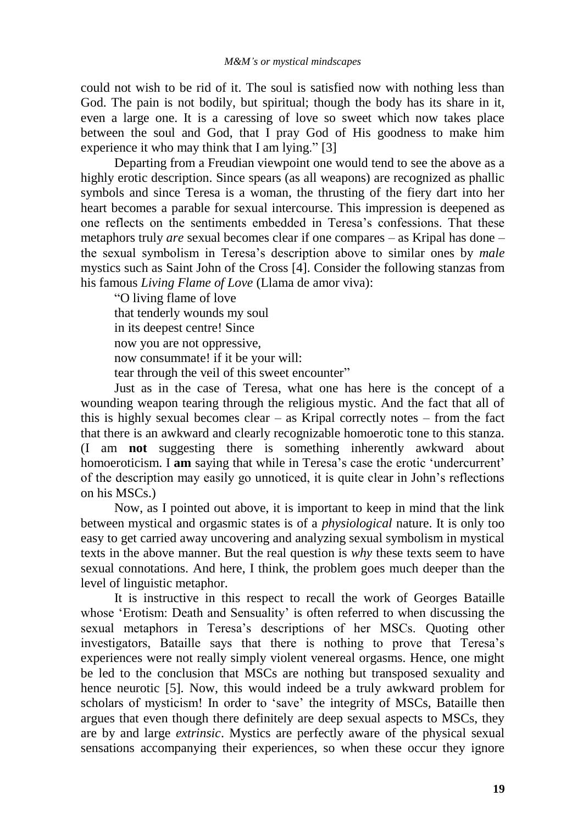could not wish to be rid of it. The soul is satisfied now with nothing less than God. The pain is not bodily, but spiritual; though the body has its share in it, even a large one. It is a caressing of love so sweet which now takes place between the soul and God, that I pray God of His goodness to make him experience it who may think that I am lying." [3]

Departing from a Freudian viewpoint one would tend to see the above as a highly erotic description. Since spears (as all weapons) are recognized as phallic symbols and since Teresa is a woman, the thrusting of the fiery dart into her heart becomes a parable for sexual intercourse. This impression is deepened as one reflects on the sentiments embedded in Teresa"s confessions. That these metaphors truly *are* sexual becomes clear if one compares – as Kripal has done – the sexual symbolism in Teresa"s description above to similar ones by *male* mystics such as Saint John of the Cross [4]. Consider the following stanzas from his famous *Living Flame of Love* (Llama de amor viva):

"O living flame of love that tenderly wounds my soul in its deepest centre! Since now you are not oppressive, now consummate! if it be your will: tear through the veil of this sweet encounter"

Just as in the case of Teresa, what one has here is the concept of a wounding weapon tearing through the religious mystic. And the fact that all of this is highly sexual becomes clear – as Kripal correctly notes – from the fact that there is an awkward and clearly recognizable homoerotic tone to this stanza. (I am **not** suggesting there is something inherently awkward about homoeroticism. I **am** saying that while in Teresa's case the erotic 'undercurrent' of the description may easily go unnoticed, it is quite clear in John"s reflections on his MSCs.)

Now, as I pointed out above, it is important to keep in mind that the link between mystical and orgasmic states is of a *physiological* nature. It is only too easy to get carried away uncovering and analyzing sexual symbolism in mystical texts in the above manner. But the real question is *why* these texts seem to have sexual connotations. And here, I think, the problem goes much deeper than the level of linguistic metaphor.

It is instructive in this respect to recall the work of Georges Bataille whose 'Erotism: Death and Sensuality' is often referred to when discussing the sexual metaphors in Teresa's descriptions of her MSCs. Quoting other investigators, Bataille says that there is nothing to prove that Teresa"s experiences were not really simply violent venereal orgasms. Hence, one might be led to the conclusion that MSCs are nothing but transposed sexuality and hence neurotic [5]. Now, this would indeed be a truly awkward problem for scholars of mysticism! In order to "save" the integrity of MSCs, Bataille then argues that even though there definitely are deep sexual aspects to MSCs, they are by and large *extrinsic*. Mystics are perfectly aware of the physical sexual sensations accompanying their experiences, so when these occur they ignore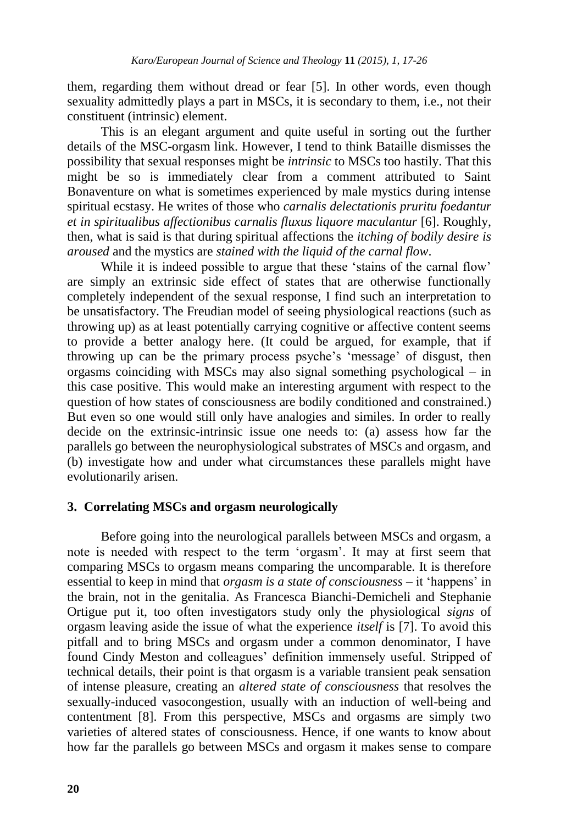them, regarding them without dread or fear [5]. In other words, even though sexuality admittedly plays a part in MSCs, it is secondary to them, i.e., not their constituent (intrinsic) element.

This is an elegant argument and quite useful in sorting out the further details of the MSC-orgasm link. However, I tend to think Bataille dismisses the possibility that sexual responses might be *intrinsic* to MSCs too hastily. That this might be so is immediately clear from a comment attributed to Saint Bonaventure on what is sometimes experienced by male mystics during intense spiritual ecstasy. He writes of those who *carnalis delectationis pruritu foedantur et in spiritualibus affectionibus carnalis fluxus liquore maculantur* [6]. Roughly, then, what is said is that during spiritual affections the *itching of bodily desire is aroused* and the mystics are *stained with the liquid of the carnal flow*.

While it is indeed possible to argue that these 'stains of the carnal flow' are simply an extrinsic side effect of states that are otherwise functionally completely independent of the sexual response, I find such an interpretation to be unsatisfactory. The Freudian model of seeing physiological reactions (such as throwing up) as at least potentially carrying cognitive or affective content seems to provide a better analogy here. (It could be argued, for example, that if throwing up can be the primary process psyche"s "message" of disgust, then orgasms coinciding with MSCs may also signal something psychological – in this case positive. This would make an interesting argument with respect to the question of how states of consciousness are bodily conditioned and constrained.) But even so one would still only have analogies and similes. In order to really decide on the extrinsic-intrinsic issue one needs to: (a) assess how far the parallels go between the neurophysiological substrates of MSCs and orgasm, and (b) investigate how and under what circumstances these parallels might have evolutionarily arisen.

#### **3. Correlating MSCs and orgasm neurologically**

Before going into the neurological parallels between MSCs and orgasm, a note is needed with respect to the term "orgasm". It may at first seem that comparing MSCs to orgasm means comparing the uncomparable. It is therefore essential to keep in mind that *orgasm is a state of consciousness* – it "happens" in the brain, not in the genitalia. As Francesca Bianchi-Demicheli and Stephanie Ortigue put it, too often investigators study only the physiological *signs* of orgasm leaving aside the issue of what the experience *itself* is [7]. To avoid this pitfall and to bring MSCs and orgasm under a common denominator, I have found Cindy Meston and colleagues" definition immensely useful. Stripped of technical details, their point is that orgasm is a variable transient peak sensation of intense pleasure, creating an *altered state of consciousness* that resolves the sexually-induced vasocongestion, usually with an induction of well-being and contentment [8]. From this perspective, MSCs and orgasms are simply two varieties of altered states of consciousness. Hence, if one wants to know about how far the parallels go between MSCs and orgasm it makes sense to compare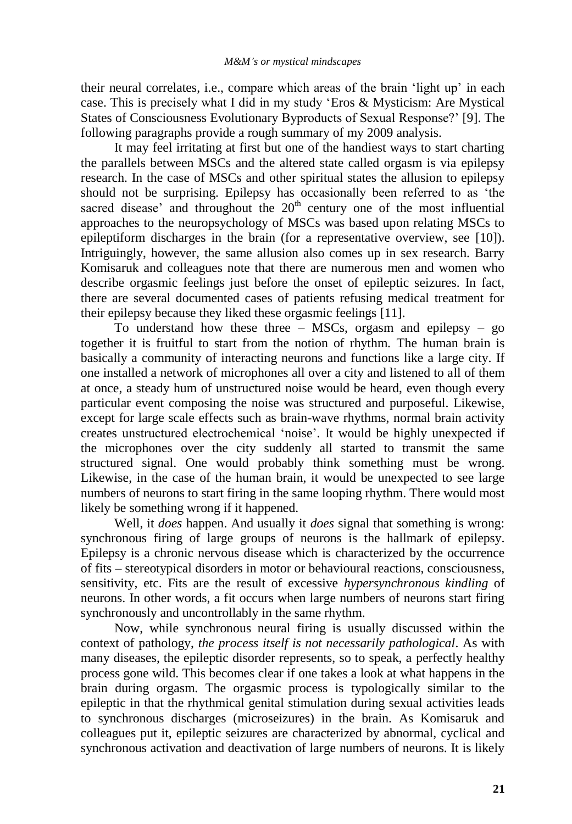their neural correlates, i.e., compare which areas of the brain "light up" in each case. This is precisely what I did in my study "Eros & Mysticism: Are Mystical States of Consciousness Evolutionary Byproducts of Sexual Response?" [9]. The following paragraphs provide a rough summary of my 2009 analysis.

It may feel irritating at first but one of the handiest ways to start charting the parallels between MSCs and the altered state called orgasm is via epilepsy research. In the case of MSCs and other spiritual states the allusion to epilepsy should not be surprising. Epilepsy has occasionally been referred to as "the sacred disease' and throughout the  $20<sup>th</sup>$  century one of the most influential approaches to the neuropsychology of MSCs was based upon relating MSCs to epileptiform discharges in the brain (for a representative overview, see [10]). Intriguingly, however, the same allusion also comes up in sex research. Barry Komisaruk and colleagues note that there are numerous men and women who describe orgasmic feelings just before the onset of epileptic seizures. In fact, there are several documented cases of patients refusing medical treatment for their epilepsy because they liked these orgasmic feelings [11].

To understand how these three – MSCs, orgasm and epilepsy – go together it is fruitful to start from the notion of rhythm. The human brain is basically a community of interacting neurons and functions like a large city. If one installed a network of microphones all over a city and listened to all of them at once, a steady hum of unstructured noise would be heard, even though every particular event composing the noise was structured and purposeful. Likewise, except for large scale effects such as brain-wave rhythms, normal brain activity creates unstructured electrochemical "noise". It would be highly unexpected if the microphones over the city suddenly all started to transmit the same structured signal. One would probably think something must be wrong. Likewise, in the case of the human brain, it would be unexpected to see large numbers of neurons to start firing in the same looping rhythm. There would most likely be something wrong if it happened.

Well, it *does* happen. And usually it *does* signal that something is wrong: synchronous firing of large groups of neurons is the hallmark of epilepsy. Epilepsy is a chronic nervous disease which is characterized by the occurrence of fits – stereotypical disorders in motor or behavioural reactions, consciousness, sensitivity, etc. Fits are the result of excessive *hypersynchronous kindling* of neurons. In other words, a fit occurs when large numbers of neurons start firing synchronously and uncontrollably in the same rhythm.

Now, while synchronous neural firing is usually discussed within the context of pathology, *the process itself is not necessarily pathological*. As with many diseases, the epileptic disorder represents, so to speak, a perfectly healthy process gone wild. This becomes clear if one takes a look at what happens in the brain during orgasm. The orgasmic process is typologically similar to the epileptic in that the rhythmical genital stimulation during sexual activities leads to synchronous discharges (microseizures) in the brain. As Komisaruk and colleagues put it, epileptic seizures are characterized by abnormal, cyclical and synchronous activation and deactivation of large numbers of neurons. It is likely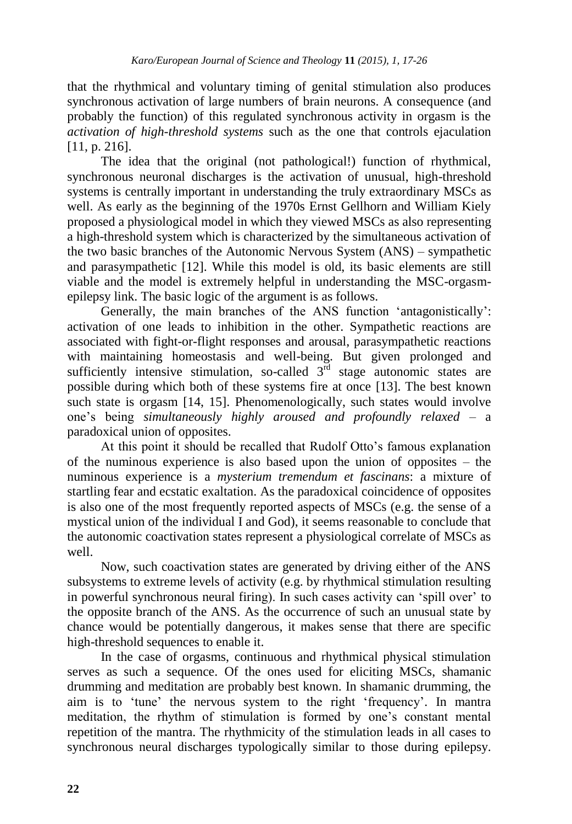that the rhythmical and voluntary timing of genital stimulation also produces synchronous activation of large numbers of brain neurons. A consequence (and probably the function) of this regulated synchronous activity in orgasm is the *activation of high-threshold systems* such as the one that controls ejaculation [11, p. 216].

The idea that the original (not pathological!) function of rhythmical, synchronous neuronal discharges is the activation of unusual, high-threshold systems is centrally important in understanding the truly extraordinary MSCs as well. As early as the beginning of the 1970s Ernst Gellhorn and William Kiely proposed a physiological model in which they viewed MSCs as also representing a high-threshold system which is characterized by the simultaneous activation of the two basic branches of the Autonomic Nervous System (ANS) – sympathetic and parasympathetic [12]. While this model is old, its basic elements are still viable and the model is extremely helpful in understanding the MSC-orgasmepilepsy link. The basic logic of the argument is as follows.

Generally, the main branches of the ANS function "antagonistically": activation of one leads to inhibition in the other. Sympathetic reactions are associated with fight-or-flight responses and arousal, parasympathetic reactions with maintaining homeostasis and well-being. But given prolonged and sufficiently intensive stimulation, so-called  $3<sup>rd</sup>$  stage autonomic states are possible during which both of these systems fire at once [13]. The best known such state is orgasm [14, 15]. Phenomenologically, such states would involve one"s being *simultaneously highly aroused and profoundly relaxed* – a paradoxical union of opposites.

At this point it should be recalled that Rudolf Otto"s famous explanation of the numinous experience is also based upon the union of opposites – the numinous experience is a *mysterium tremendum et fascinans*: a mixture of startling fear and ecstatic exaltation. As the paradoxical coincidence of opposites is also one of the most frequently reported aspects of MSCs (e.g. the sense of a mystical union of the individual I and God), it seems reasonable to conclude that the autonomic coactivation states represent a physiological correlate of MSCs as well.

Now, such coactivation states are generated by driving either of the ANS subsystems to extreme levels of activity (e.g. by rhythmical stimulation resulting in powerful synchronous neural firing). In such cases activity can "spill over" to the opposite branch of the ANS. As the occurrence of such an unusual state by chance would be potentially dangerous, it makes sense that there are specific high-threshold sequences to enable it.

In the case of orgasms, continuous and rhythmical physical stimulation serves as such a sequence. Of the ones used for eliciting MSCs, shamanic drumming and meditation are probably best known. In shamanic drumming, the aim is to "tune" the nervous system to the right "frequency". In mantra meditation, the rhythm of stimulation is formed by one"s constant mental repetition of the mantra. The rhythmicity of the stimulation leads in all cases to synchronous neural discharges typologically similar to those during epilepsy.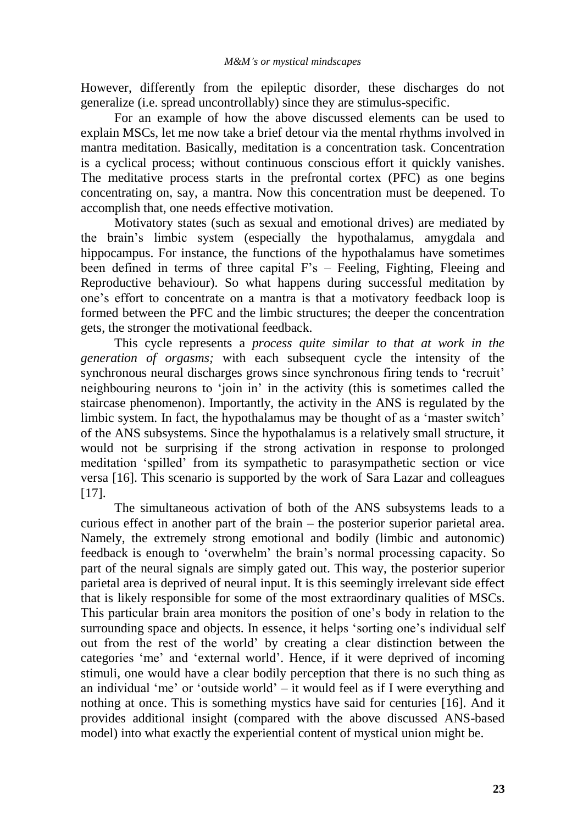However, differently from the epileptic disorder, these discharges do not generalize (i.e. spread uncontrollably) since they are stimulus-specific.

For an example of how the above discussed elements can be used to explain MSCs, let me now take a brief detour via the mental rhythms involved in mantra meditation. Basically, meditation is a concentration task. Concentration is a cyclical process; without continuous conscious effort it quickly vanishes. The meditative process starts in the prefrontal cortex (PFC) as one begins concentrating on, say, a mantra. Now this concentration must be deepened. To accomplish that, one needs effective motivation.

Motivatory states (such as sexual and emotional drives) are mediated by the brain"s limbic system (especially the hypothalamus, amygdala and hippocampus. For instance, the functions of the hypothalamus have sometimes been defined in terms of three capital F"s – Feeling, Fighting, Fleeing and Reproductive behaviour). So what happens during successful meditation by one"s effort to concentrate on a mantra is that a motivatory feedback loop is formed between the PFC and the limbic structures; the deeper the concentration gets, the stronger the motivational feedback.

This cycle represents a *process quite similar to that at work in the generation of orgasms;* with each subsequent cycle the intensity of the synchronous neural discharges grows since synchronous firing tends to "recruit" neighbouring neurons to "join in" in the activity (this is sometimes called the staircase phenomenon). Importantly, the activity in the ANS is regulated by the limbic system. In fact, the hypothalamus may be thought of as a "master switch" of the ANS subsystems. Since the hypothalamus is a relatively small structure, it would not be surprising if the strong activation in response to prolonged meditation "spilled" from its sympathetic to parasympathetic section or vice versa [16]. This scenario is supported by the work of Sara Lazar and colleagues [17].

The simultaneous activation of both of the ANS subsystems leads to a curious effect in another part of the brain – the posterior superior parietal area. Namely, the extremely strong emotional and bodily (limbic and autonomic) feedback is enough to "overwhelm" the brain"s normal processing capacity. So part of the neural signals are simply gated out. This way, the posterior superior parietal area is deprived of neural input. It is this seemingly irrelevant side effect that is likely responsible for some of the most extraordinary qualities of MSCs. This particular brain area monitors the position of one"s body in relation to the surrounding space and objects. In essence, it helps 'sorting one's individual self out from the rest of the world" by creating a clear distinction between the categories "me" and "external world". Hence, if it were deprived of incoming stimuli, one would have a clear bodily perception that there is no such thing as an individual 'me' or 'outside world'  $-$  it would feel as if I were everything and nothing at once. This is something mystics have said for centuries [16]. And it provides additional insight (compared with the above discussed ANS-based model) into what exactly the experiential content of mystical union might be.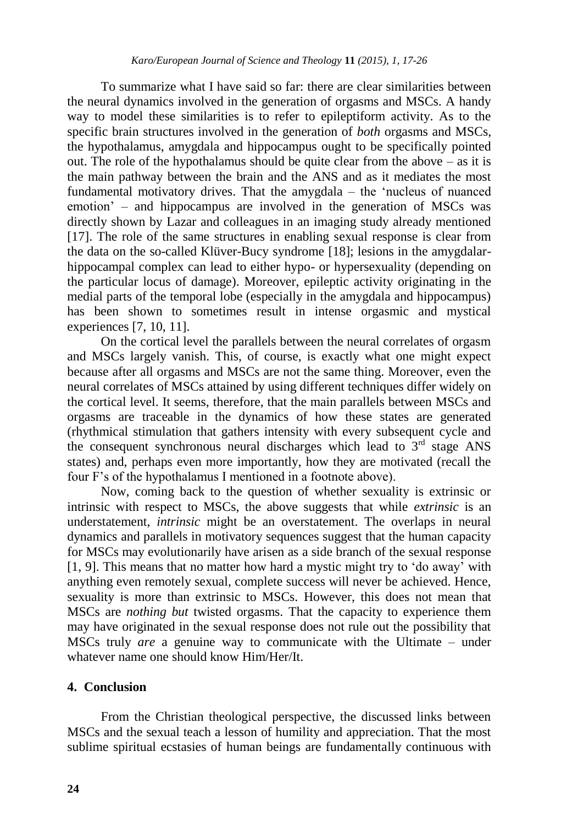To summarize what I have said so far: there are clear similarities between the neural dynamics involved in the generation of orgasms and MSCs. A handy way to model these similarities is to refer to epileptiform activity. As to the specific brain structures involved in the generation of *both* orgasms and MSCs, the hypothalamus, amygdala and hippocampus ought to be specifically pointed out. The role of the hypothalamus should be quite clear from the above – as it is the main pathway between the brain and the ANS and as it mediates the most fundamental motivatory drives. That the amygdala – the "nucleus of nuanced emotion" – and hippocampus are involved in the generation of MSCs was directly shown by Lazar and colleagues in an imaging study already mentioned [17]. The role of the same structures in enabling sexual response is clear from the data on the so-called Klüver-Bucy syndrome [18]; lesions in the amygdalarhippocampal complex can lead to either hypo- or hypersexuality (depending on the particular locus of damage). Moreover, epileptic activity originating in the medial parts of the temporal lobe (especially in the amygdala and hippocampus) has been shown to sometimes result in intense orgasmic and mystical experiences [7, 10, 11].

On the cortical level the parallels between the neural correlates of orgasm and MSCs largely vanish. This, of course, is exactly what one might expect because after all orgasms and MSCs are not the same thing. Moreover, even the neural correlates of MSCs attained by using different techniques differ widely on the cortical level. It seems, therefore, that the main parallels between MSCs and orgasms are traceable in the dynamics of how these states are generated (rhythmical stimulation that gathers intensity with every subsequent cycle and the consequent synchronous neural discharges which lead to  $3<sup>rd</sup>$  stage ANS states) and, perhaps even more importantly, how they are motivated (recall the four F"s of the hypothalamus I mentioned in a footnote above).

Now, coming back to the question of whether sexuality is extrinsic or intrinsic with respect to MSCs, the above suggests that while *extrinsic* is an understatement, *intrinsic* might be an overstatement. The overlaps in neural dynamics and parallels in motivatory sequences suggest that the human capacity for MSCs may evolutionarily have arisen as a side branch of the sexual response [1, 9]. This means that no matter how hard a mystic might try to "do away" with anything even remotely sexual, complete success will never be achieved. Hence, sexuality is more than extrinsic to MSCs. However, this does not mean that MSCs are *nothing but* twisted orgasms. That the capacity to experience them may have originated in the sexual response does not rule out the possibility that MSCs truly *are* a genuine way to communicate with the Ultimate – under whatever name one should know Him/Her/It.

## **4. Conclusion**

From the Christian theological perspective, the discussed links between MSCs and the sexual teach a lesson of humility and appreciation. That the most sublime spiritual ecstasies of human beings are fundamentally continuous with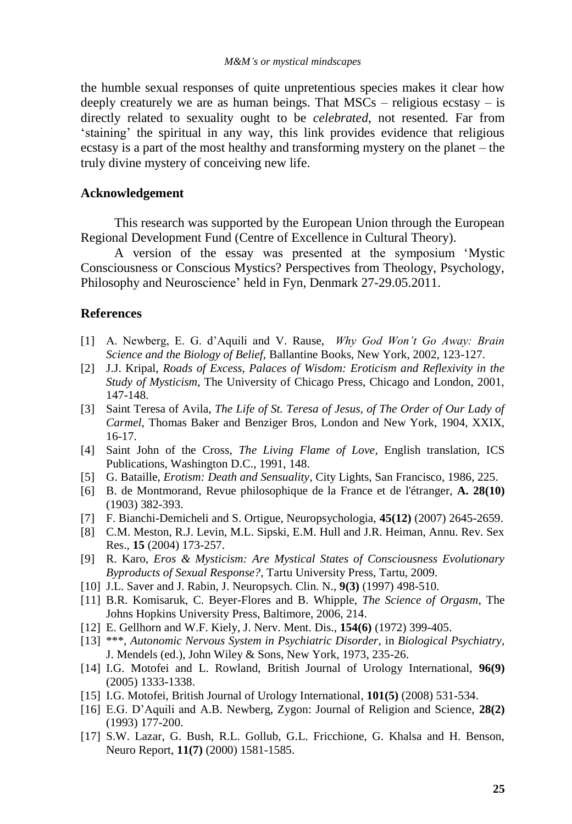the humble sexual responses of quite unpretentious species makes it clear how deeply creaturely we are as human beings. That  $MSCs$  – religious ecstasy – is directly related to sexuality ought to be *celebrated*, not resented. Far from "staining" the spiritual in any way, this link provides evidence that religious ecstasy is a part of the most healthy and transforming mystery on the planet – the truly divine mystery of conceiving new life.

## **Acknowledgement**

This research was supported by the European Union through the European Regional Development Fund (Centre of Excellence in Cultural Theory).

A version of the essay was presented at the symposium "Mystic Consciousness or Conscious Mystics? Perspectives from Theology, Psychology, Philosophy and Neuroscience' held in Fyn, Denmark 27-29.05.2011.

## **References**

- [1] A. Newberg, E. G. d"Aquili and V. Rause, *Why God Won't Go Away: Brain Science and the Biology of Belief,* Ballantine Books, New York, 2002, 123-127.
- [2] J.J. Kripal, *Roads of Excess, Palaces of Wisdom: Eroticism and Reflexivity in the Study of Mysticism*, The University of Chicago Press, Chicago and London, 2001, 147-148.
- [3] Saint Teresa of Avila, *The Life of St. Teresa of Jesus, of The Order of Our Lady of Carmel*, Thomas Baker and Benziger Bros, London and New York, 1904, XXIX, 16-17.
- [4] Saint John of the Cross, *The Living Flame of Love*, English translation, ICS Publications, Washington D.C., 1991, 148.
- [5] G. Bataille, *Erotism: Death and Sensuality*, City Lights, San Francisco, 1986, 225.
- [6] B. de Montmorand, Revue philosophique de la France et de l'étranger, **A. 28(10)**  (1903) 382-393.
- [7] F. Bianchi-Demicheli and S. Ortigue, Neuropsychologia, **45(12)** (2007) 2645-2659.
- [8] C.M. Meston, R.J. Levin, M.L. Sipski, E.M. Hull and J.R. Heiman, Annu. Rev. Sex Res., **15** (2004) 173-257.
- [9] R. Karo, *Eros & Mysticism: Are Mystical States of Consciousness Evolutionary Byproducts of Sexual Response?,* Tartu University Press, Tartu, 2009.
- [10] J.L. Saver and J. Rabin, J. Neuropsych. Clin. N., **9(3)** (1997) 498-510.
- [11] B.R. Komisaruk, C. Beyer-Flores and B. Whipple, *The Science of Orgasm*, The Johns Hopkins University Press, Baltimore, 2006, 214.
- [12] E. Gellhorn and W.F. Kiely, J. Nerv. Ment. Dis., **154(6)** (1972) 399-405.
- [13] \*\*\*, *Autonomic Nervous System in Psychiatric Disorder*, in *Biological Psychiatry*, J. Mendels (ed.), John Wiley & Sons, New York, 1973, 235-26.
- [14] I.G. Motofei and L. Rowland, British Journal of Urology International, **96(9)** (2005) 1333-1338.
- [15] I.G. Motofei, British Journal of Urology International, **101(5)** (2008) 531-534.
- [16] E.G. D"Aquili and A.B. Newberg, Zygon: Journal of Religion and Science, **28(2)** (1993) 177-200.
- [17] S.W. Lazar, G. Bush, R.L. Gollub, G.L. Fricchione, G. Khalsa and H. Benson, Neuro Report, **11(7)** (2000) 1581-1585.